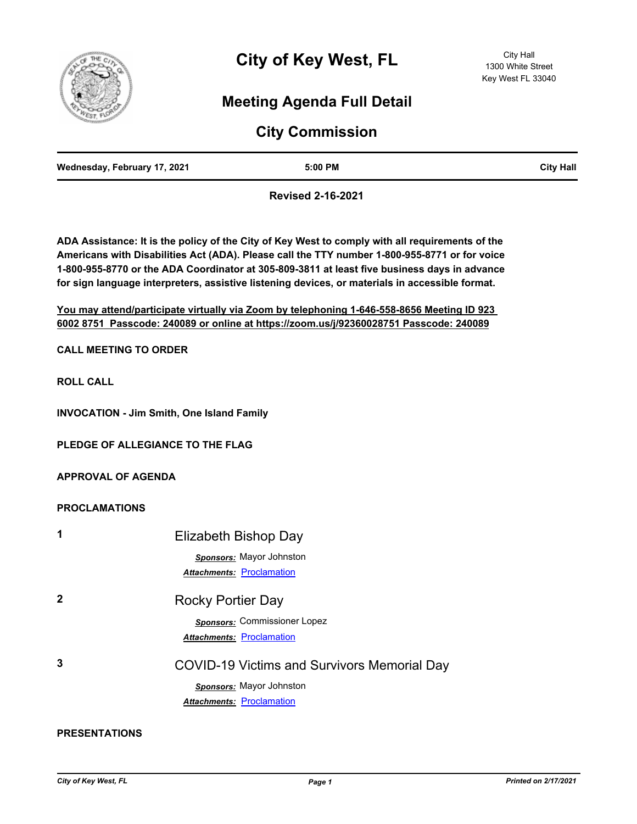

# **Meeting Agenda Full Detail**

# **City Commission**

|--|

**Revised 2-16-2021**

**ADA Assistance: It is the policy of the City of Key West to comply with all requirements of the Americans with Disabilities Act (ADA). Please call the TTY number 1-800-955-8771 or for voice 1-800-955-8770 or the ADA Coordinator at 305-809-3811 at least five business days in advance for sign language interpreters, assistive listening devices, or materials in accessible format.**

**You may attend/participate virtually via Zoom by telephoning 1-646-558-8656 Meeting ID 923 6002 8751 Passcode: 240089 or online at https://zoom.us/j/92360028751 Passcode: 240089**

**CALL MEETING TO ORDER**

**ROLL CALL**

**INVOCATION - Jim Smith, One Island Family**

**PLEDGE OF ALLEGIANCE TO THE FLAG**

**APPROVAL OF AGENDA**

### **PROCLAMATIONS**

| 1           | Elizabeth Bishop Day                        |
|-------------|---------------------------------------------|
|             | <b>Sponsors:</b> Mayor Johnston             |
|             | <b>Attachments: Proclamation</b>            |
| $\mathbf 2$ | <b>Rocky Portier Day</b>                    |
|             | <b>Sponsors:</b> Commissioner Lopez         |
|             | <b>Attachments: Proclamation</b>            |
| 3           | COVID-19 Victims and Survivors Memorial Day |
|             | Sponsors: Mayor Johnston                    |
|             | <b>Attachments: Proclamation</b>            |

**PRESENTATIONS**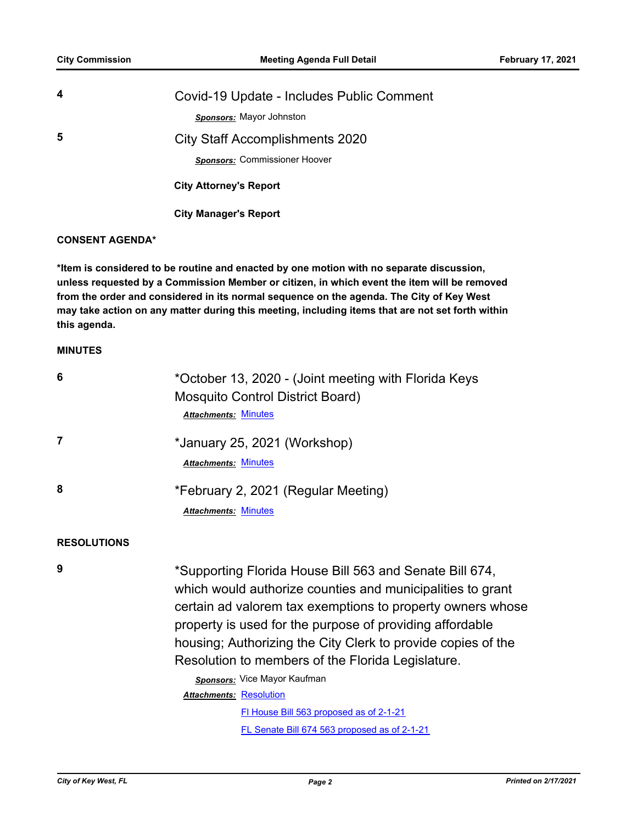| 4 | Covid-19 Update - Includes Public Comment |
|---|-------------------------------------------|
|   | <b>Sponsors:</b> Mayor Johnston           |
| 5 | <b>City Staff Accomplishments 2020</b>    |
|   | Sponsors: Commissioner Hoover             |
|   | <b>City Attorney's Report</b>             |

 **City Manager's Report**

### **CONSENT AGENDA\***

**\*Item is considered to be routine and enacted by one motion with no separate discussion, unless requested by a Commission Member or citizen, in which event the item will be removed from the order and considered in its normal sequence on the agenda. The City of Key West may take action on any matter during this meeting, including items that are not set forth within this agenda.**

#### **MINUTES**

| *October 13, 2020 - (Joint meeting with Florida Keys<br>Mosquito Control District Board)<br><b>Attachments: Minutes</b>                                                                                                                                                                                                                                                                                                                                                                                                           |
|-----------------------------------------------------------------------------------------------------------------------------------------------------------------------------------------------------------------------------------------------------------------------------------------------------------------------------------------------------------------------------------------------------------------------------------------------------------------------------------------------------------------------------------|
| *January 25, 2021 (Workshop)<br><b>Attachments: Minutes</b>                                                                                                                                                                                                                                                                                                                                                                                                                                                                       |
| *February 2, 2021 (Regular Meeting)<br><b>Attachments: Minutes</b>                                                                                                                                                                                                                                                                                                                                                                                                                                                                |
|                                                                                                                                                                                                                                                                                                                                                                                                                                                                                                                                   |
| *Supporting Florida House Bill 563 and Senate Bill 674,<br>which would authorize counties and municipalities to grant<br>certain ad valorem tax exemptions to property owners whose<br>property is used for the purpose of providing affordable<br>housing; Authorizing the City Clerk to provide copies of the<br>Resolution to members of the Florida Legislature.<br>Sponsors: Vice Mayor Kaufman<br><b>Attachments: Resolution</b><br>FI House Bill 563 proposed as of 2-1-21<br>FL Senate Bill 674 563 proposed as of 2-1-21 |
|                                                                                                                                                                                                                                                                                                                                                                                                                                                                                                                                   |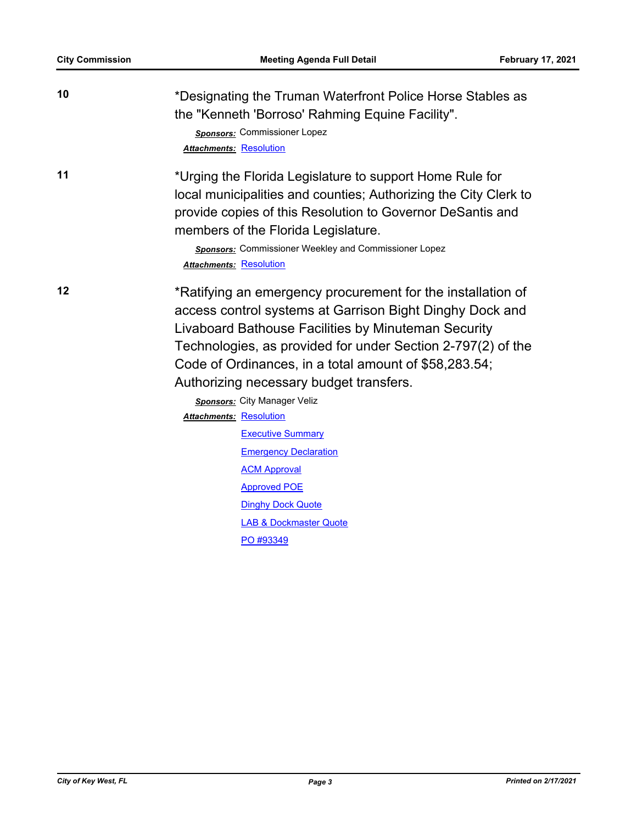| 10 | *Designating the Truman Waterfront Police Horse Stables as<br>the "Kenneth 'Borroso' Rahming Equine Facility".<br>Sponsors: Commissioner Lopez<br><b>Attachments: Resolution</b>                                                                                                                                                                  |
|----|---------------------------------------------------------------------------------------------------------------------------------------------------------------------------------------------------------------------------------------------------------------------------------------------------------------------------------------------------|
| 11 | *Urging the Florida Legislature to support Home Rule for<br>local municipalities and counties; Authorizing the City Clerk to<br>provide copies of this Resolution to Governor DeSantis and<br>members of the Florida Legislature.<br>Sponsors: Commissioner Weekley and Commissioner Lopez<br><b>Attachments: Resolution</b>                      |
| 12 | *Ratifying an emergency procurement for the installation of<br>access control systems at Garrison Bight Dinghy Dock and<br>Livaboard Bathouse Facilities by Minuteman Security<br>Technologies, as provided for under Section 2-797(2) of the<br>Code of Ordinances, in a total amount of \$58,283.54;<br>Authorizing necessary budget transfers. |
|    | Sponsors: City Manager Veliz                                                                                                                                                                                                                                                                                                                      |
|    | <b>Attachments: Resolution</b><br><b>Executive Summary</b>                                                                                                                                                                                                                                                                                        |
|    | <b>Emergency Declaration</b>                                                                                                                                                                                                                                                                                                                      |
|    | <b>ACM Approval</b>                                                                                                                                                                                                                                                                                                                               |
|    | <b>Approved POE</b>                                                                                                                                                                                                                                                                                                                               |
|    | <b>Dinghy Dock Quote</b>                                                                                                                                                                                                                                                                                                                          |
|    | <b>LAB &amp; Dockmaster Quote</b>                                                                                                                                                                                                                                                                                                                 |
|    | PO #93349                                                                                                                                                                                                                                                                                                                                         |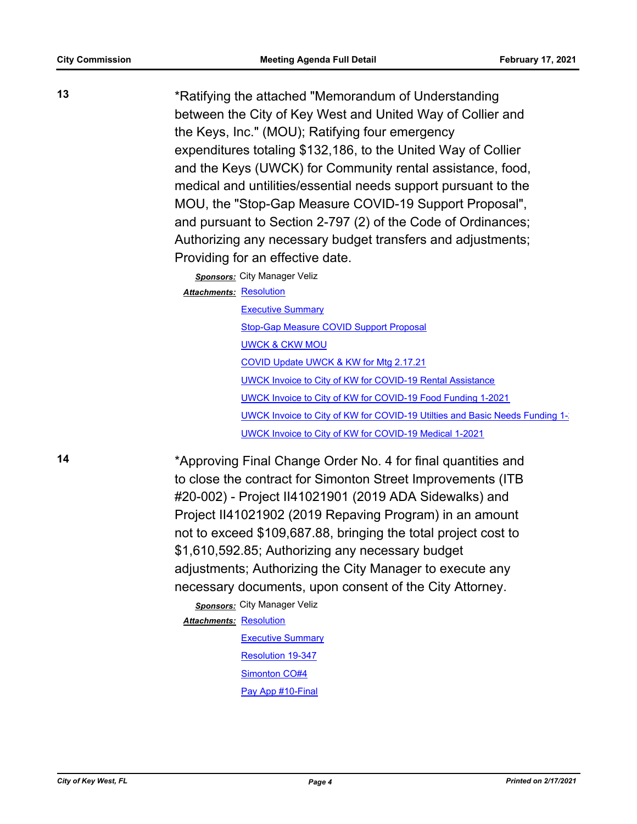**13** \*Ratifying the attached "Memorandum of Understanding between the City of Key West and United Way of Collier and the Keys, Inc." (MOU); Ratifying four emergency expenditures totaling \$132,186, to the United Way of Collier and the Keys (UWCK) for Community rental assistance, food, medical and untilities/essential needs support pursuant to the MOU, the "Stop-Gap Measure COVID-19 Support Proposal", and pursuant to Section 2-797 (2) of the Code of Ordinances; Authorizing any necessary budget transfers and adjustments; Providing for an effective date.

*Sponsors:* City Manager Veliz

Attachments: [Resolution](http://KeyWest.legistar.com/gateway.aspx?M=F&ID=75df691c-0653-4964-b085-ac8df63dbe54.pdf)

**[Executive Summary](http://KeyWest.legistar.com/gateway.aspx?M=F&ID=f9a805f1-db63-4801-8d90-9cab631eb1b8.pdf)** [Stop-Gap Measure COVID Support Proposal](http://KeyWest.legistar.com/gateway.aspx?M=F&ID=839fea4c-c203-4b65-afcd-2838db5b7d3c.pdf) [UWCK & CKW MOU](http://KeyWest.legistar.com/gateway.aspx?M=F&ID=7dba397a-f81f-4135-85cc-5c9a850c398f.pdf) [COVID Update UWCK & KW for Mtg 2.17.21](http://KeyWest.legistar.com/gateway.aspx?M=F&ID=45629ac4-809b-4f97-8514-2de25663c60b.pdf) [UWCK Invoice to City of KW for COVID-19 Rental Assistance](http://KeyWest.legistar.com/gateway.aspx?M=F&ID=72e6f558-1312-404d-83a4-6e2f68eb0a19.pdf) [UWCK Invoice to City of KW for COVID-19 Food Funding 1-2021](http://KeyWest.legistar.com/gateway.aspx?M=F&ID=8336ac48-990b-4065-919b-3b2c3c68bdb1.pdf) [UWCK Invoice to City of KW for COVID-19 Utilties and Basic Needs Funding 1-](http://KeyWest.legistar.com/gateway.aspx?M=F&ID=3d1eb995-f70d-4455-9145-96459880240f.pdf)2 [UWCK Invoice to City of KW for COVID-19 Medical 1-2021](http://KeyWest.legistar.com/gateway.aspx?M=F&ID=a38b6412-2e6d-477f-ac66-32054f3b866f.pdf)

**14** \*Approving Final Change Order No. 4 for final quantities and to close the contract for Simonton Street Improvements (ITB #20-002) - Project II41021901 (2019 ADA Sidewalks) and Project II41021902 (2019 Repaving Program) in an amount not to exceed \$109,687.88, bringing the total project cost to \$1,610,592.85; Authorizing any necessary budget adjustments; Authorizing the City Manager to execute any necessary documents, upon consent of the City Attorney.

> *Sponsors:* City Manager Veliz Attachments: [Resolution](http://KeyWest.legistar.com/gateway.aspx?M=F&ID=62592112-8ea0-4bfc-83c5-39fd8bda695f.pdf) **[Executive Summary](http://KeyWest.legistar.com/gateway.aspx?M=F&ID=08ecaf90-722e-4f65-baf9-ee8ddee1e757.pdf)** [Resolution 19-347](http://KeyWest.legistar.com/gateway.aspx?M=F&ID=11df2b85-6ecb-4bb8-b35b-cb3178340643.pdf) [Simonton CO#4](http://KeyWest.legistar.com/gateway.aspx?M=F&ID=7a6d6ab0-76d0-40e4-8f61-d50bfbcadbc7.pdf) [Pay App #10-Final](http://KeyWest.legistar.com/gateway.aspx?M=F&ID=97f92b76-330d-4985-810e-f8493b4cedec.pdf)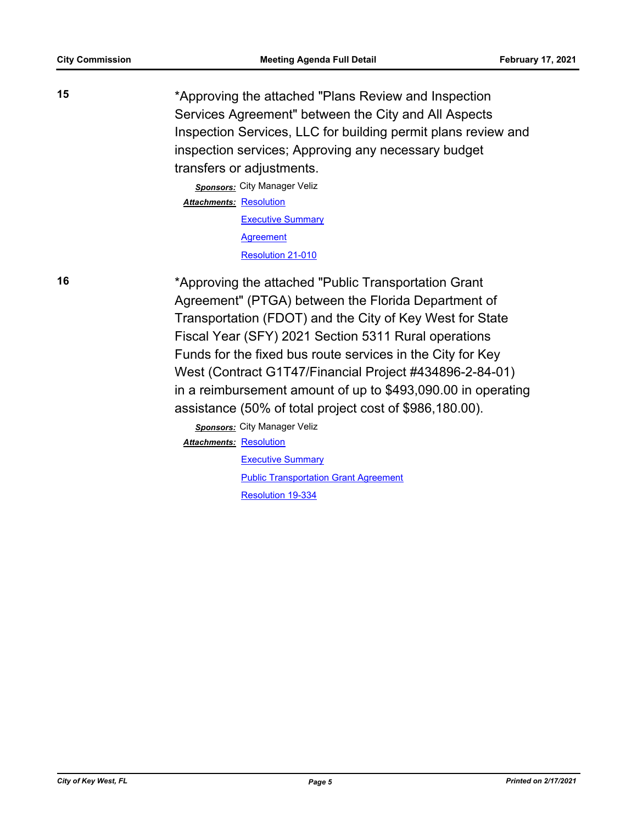**15** \*Approving the attached "Plans Review and Inspection Services Agreement" between the City and All Aspects Inspection Services, LLC for building permit plans review and inspection services; Approving any necessary budget transfers or adjustments. *Sponsors:* City Manager Veliz Attachments: [Resolution](http://KeyWest.legistar.com/gateway.aspx?M=F&ID=45bda6e2-9e17-47e5-b471-87a71455f6e2.pdf) **[Executive Summary](http://KeyWest.legistar.com/gateway.aspx?M=F&ID=f35037de-81bb-4627-a7c7-b1c090211841.pdf) [Agreement](http://KeyWest.legistar.com/gateway.aspx?M=F&ID=c6def41f-0cda-4a7e-811f-003ea119841a.pdf)** 

[Resolution 21-010](http://KeyWest.legistar.com/gateway.aspx?M=F&ID=3f9fa357-c803-46a3-92b9-0f320c455b06.pdf)

**16** \*Approving the attached "Public Transportation Grant Agreement" (PTGA) between the Florida Department of Transportation (FDOT) and the City of Key West for State Fiscal Year (SFY) 2021 Section 5311 Rural operations Funds for the fixed bus route services in the City for Key West (Contract G1T47/Financial Project #434896-2-84-01) in a reimbursement amount of up to \$493,090.00 in operating assistance (50% of total project cost of \$986,180.00).

> *Sponsors:* City Manager Veliz **Attachments: [Resolution](http://KeyWest.legistar.com/gateway.aspx?M=F&ID=ecbc9a9f-e9a0-4807-a6a5-2ccf0433de58.pdf) [Executive Summary](http://KeyWest.legistar.com/gateway.aspx?M=F&ID=d33c2d1b-473a-4a99-a8e8-1ad55db7b6a3.pdf)** [Public Transportation Grant Agreement](http://KeyWest.legistar.com/gateway.aspx?M=F&ID=743e526e-c2e5-40f2-9364-66ef050c5d97.pdf) [Resolution 19-334](http://KeyWest.legistar.com/gateway.aspx?M=F&ID=efe43d72-078d-4cd5-9b59-ffb1bd32beb0.pdf)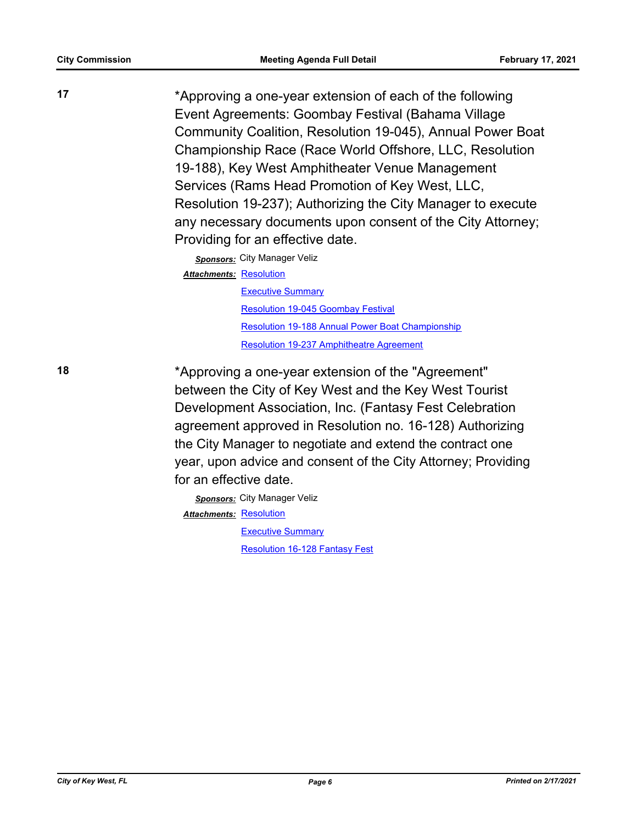**17** \*Approving a one-year extension of each of the following Event Agreements: Goombay Festival (Bahama Village Community Coalition, Resolution 19-045), Annual Power Boat Championship Race (Race World Offshore, LLC, Resolution 19-188), Key West Amphitheater Venue Management Services (Rams Head Promotion of Key West, LLC, Resolution 19-237); Authorizing the City Manager to execute any necessary documents upon consent of the City Attorney; Providing for an effective date.

> *Sponsors:* City Manager Veliz Attachments: [Resolution](http://KeyWest.legistar.com/gateway.aspx?M=F&ID=ad675744-57c4-4731-9301-c9ce7d50545f.pdf) [Executive Summary](http://KeyWest.legistar.com/gateway.aspx?M=F&ID=c04e779c-9134-4552-9ebf-d0942e785d0b.pdf) [Resolution 19-045 Goombay Festival](http://KeyWest.legistar.com/gateway.aspx?M=F&ID=c9633a80-c59e-42a9-bf4b-9828639e6974.pdf) [Resolution 19-188 Annual Power Boat Championship](http://KeyWest.legistar.com/gateway.aspx?M=F&ID=b544118a-a4a8-4454-ac2a-acdec8707bd6.pdf) [Resolution 19-237 Amphitheatre Agreement](http://KeyWest.legistar.com/gateway.aspx?M=F&ID=ae0f6c7a-bdb6-4c58-b298-bf6098de3e9e.pdf)

**18** \*Approving a one-year extension of the "Agreement" between the City of Key West and the Key West Tourist Development Association, Inc. (Fantasy Fest Celebration agreement approved in Resolution no. 16-128) Authorizing the City Manager to negotiate and extend the contract one year, upon advice and consent of the City Attorney; Providing for an effective date.

> *Sponsors:* City Manager Veliz Attachments: [Resolution](http://KeyWest.legistar.com/gateway.aspx?M=F&ID=1d4b6692-da70-4a6e-b2b3-9f1d9f0015a3.pdf) **[Executive Summary](http://KeyWest.legistar.com/gateway.aspx?M=F&ID=eb2249b6-fd49-41c1-85c9-1680ebe1ad20.pdf)** [Resolution 16-128 Fantasy Fest](http://KeyWest.legistar.com/gateway.aspx?M=F&ID=08e4628a-a6e7-494c-8322-b108ec20c788.pdf)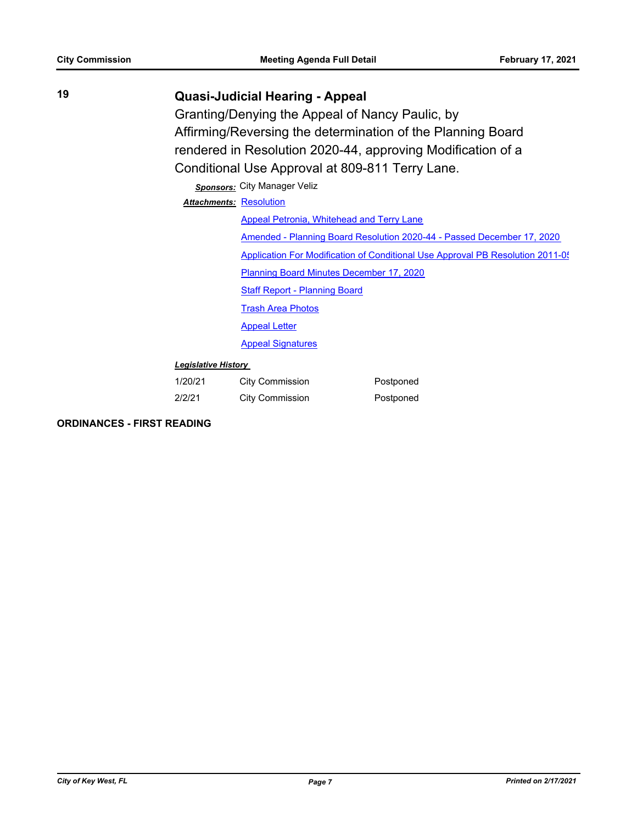## **19 Quasi-Judicial Hearing - Appeal**

Granting/Denying the Appeal of Nancy Paulic, by Affirming/Reversing the determination of the Planning Board rendered in Resolution 2020-44, approving Modification of a Conditional Use Approval at 809-811 Terry Lane.

### *Sponsors:* City Manager Veliz

Attachments: [Resolution](http://KeyWest.legistar.com/gateway.aspx?M=F&ID=04535bfb-ad25-4c17-b97c-acb17862e4f7.pdf)

| <i>nems</i> Resolution                                                         |
|--------------------------------------------------------------------------------|
| Appeal Petronia, Whitehead and Terry Lane                                      |
| Amended - Planning Board Resolution 2020-44 - Passed December 17, 2020         |
| Application For Modification of Conditional Use Approval PB Resolution 2011-05 |
| <b>Planning Board Minutes December 17, 2020</b>                                |
| <b>Staff Report - Planning Board</b>                                           |
| <b>Trash Area Photos</b>                                                       |
| <b>Appeal Letter</b>                                                           |
| <b>Appeal Signatures</b>                                                       |
|                                                                                |

#### *Legislative History*

| 1/20/21 | <b>City Commission</b> | Postponed |
|---------|------------------------|-----------|
| 2/2/21  | <b>City Commission</b> | Postponed |

**ORDINANCES - FIRST READING**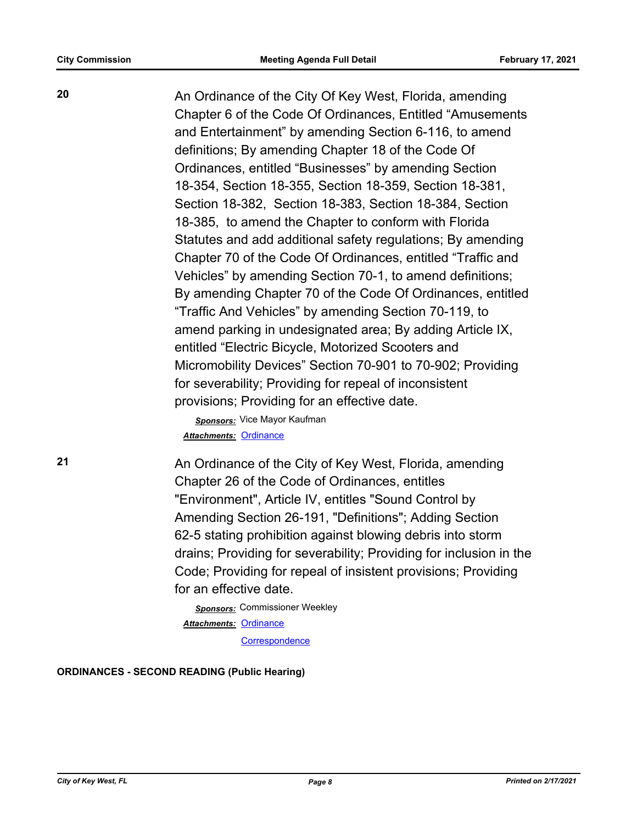**20** An Ordinance of the City Of Key West, Florida, amending Chapter 6 of the Code Of Ordinances, Entitled "Amusements and Entertainment" by amending Section 6-116, to amend definitions; By amending Chapter 18 of the Code Of Ordinances, entitled "Businesses" by amending Section 18-354, Section 18-355, Section 18-359, Section 18-381, Section 18-382, Section 18-383, Section 18-384, Section 18-385, to amend the Chapter to conform with Florida Statutes and add additional safety regulations; By amending Chapter 70 of the Code Of Ordinances, entitled "Traffic and Vehicles" by amending Section 70-1, to amend definitions; By amending Chapter 70 of the Code Of Ordinances, entitled "Traffic And Vehicles" by amending Section 70-119, to amend parking in undesignated area; By adding Article IX, entitled "Electric Bicycle, Motorized Scooters and Micromobility Devices" Section 70-901 to 70-902; Providing for severability; Providing for repeal of inconsistent provisions; Providing for an effective date.

> *Sponsors:* Vice Mayor Kaufman *Attachments:* [Ordinance](http://KeyWest.legistar.com/gateway.aspx?M=F&ID=08425acf-aba9-4b46-9e48-c6d5ee007adb.pdf)

**21** An Ordinance of the City of Key West, Florida, amending Chapter 26 of the Code of Ordinances, entitles "Environment", Article IV, entitles "Sound Control by Amending Section 26-191, "Definitions"; Adding Section 62-5 stating prohibition against blowing debris into storm drains; Providing for severability; Providing for inclusion in the Code; Providing for repeal of insistent provisions; Providing for an effective date.

> *Sponsors:* Commissioner Weekley Attachments: [Ordinance](http://KeyWest.legistar.com/gateway.aspx?M=F&ID=1d235c68-6a85-48e3-988d-853d4e516135.pdf) **[Correspondence](http://KeyWest.legistar.com/gateway.aspx?M=F&ID=7f3e3947-bdb3-405d-a5b1-6bf718b772a4.pdf)**

**ORDINANCES - SECOND READING (Public Hearing)**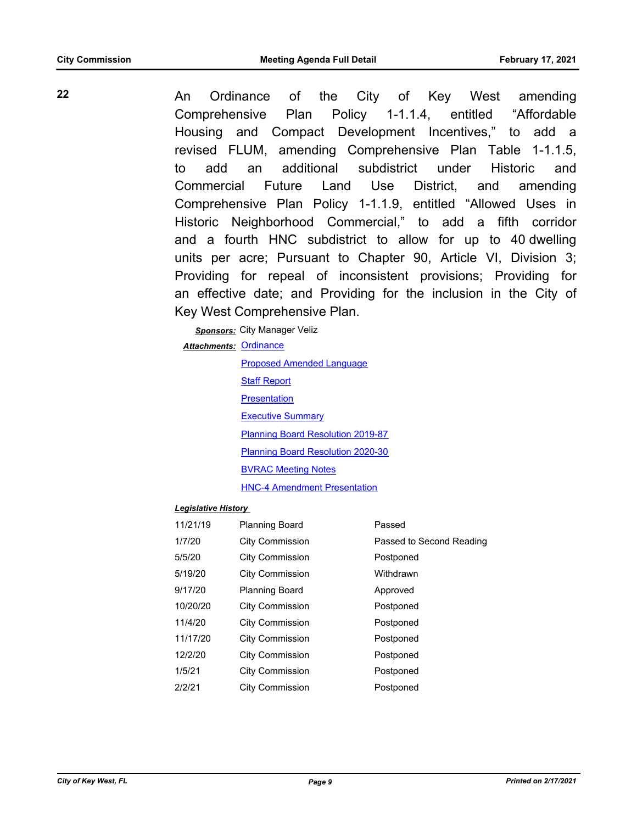**22** An Ordinance of the City of Key West amending Comprehensive Plan Policy 1-1.1.4, entitled "Affordable Housing and Compact Development Incentives," to add a revised FLUM, amending Comprehensive Plan Table 1-1.1.5, to add an additional subdistrict under Historic and Commercial Future Land Use District, and amending Comprehensive Plan Policy 1-1.1.9, entitled "Allowed Uses in Historic Neighborhood Commercial," to add a fifth corridor and a fourth HNC subdistrict to allow for up to 40 dwelling units per acre; Pursuant to Chapter 90, Article VI, Division 3; Providing for repeal of inconsistent provisions; Providing for an effective date; and Providing for the inclusion in the City of Key West Comprehensive Plan.

> *Sponsors:* City Manager Veliz Attachments: [Ordinance](http://KeyWest.legistar.com/gateway.aspx?M=F&ID=793913a0-76ce-4e30-8d91-ca85431856ab.pdf)

> > [Proposed Amended Language](http://KeyWest.legistar.com/gateway.aspx?M=F&ID=293f7c9b-d8bd-4c24-bd94-ee78381676e7.pdf) [Staff Report](http://KeyWest.legistar.com/gateway.aspx?M=F&ID=0c5fd93f-734a-48e7-8f26-7a1d841b8bda.pdf) **[Presentation](http://KeyWest.legistar.com/gateway.aspx?M=F&ID=daef02fe-893b-4a39-af7a-9176396befb1.pdf) [Executive Summary](http://KeyWest.legistar.com/gateway.aspx?M=F&ID=b8a5db17-3552-401a-a767-fecc495f8520.docx)** [Planning Board Resolution 2019-87](http://KeyWest.legistar.com/gateway.aspx?M=F&ID=1896d3fd-9f73-4139-a59e-7a85543caf47.pdf) [Planning Board Resolution 2020-30](http://KeyWest.legistar.com/gateway.aspx?M=F&ID=f1ee726a-c456-457d-8207-865ce6c9fa4e.pdf) [BVRAC Meeting Notes](http://KeyWest.legistar.com/gateway.aspx?M=F&ID=d5643e73-6c7a-4e85-a2bf-e1b840380abf.pdf) [HNC-4 Amendment Presentation](http://KeyWest.legistar.com/gateway.aspx?M=F&ID=080f09bc-5802-466b-af8f-ca5a9e719afe.pdf)

#### *Legislative History*

| 11/21/19 | <b>Planning Board</b>  | Passed                   |
|----------|------------------------|--------------------------|
| 1/7/20   | <b>City Commission</b> | Passed to Second Reading |
| 5/5/20   | <b>City Commission</b> | Postponed                |
| 5/19/20  | <b>City Commission</b> | Withdrawn                |
| 9/17/20  | Planning Board         | Approved                 |
| 10/20/20 | <b>City Commission</b> | Postponed                |
| 11/4/20  | <b>City Commission</b> | Postponed                |
| 11/17/20 | <b>City Commission</b> | Postponed                |
| 12/2/20  | <b>City Commission</b> | Postponed                |
| 1/5/21   | <b>City Commission</b> | Postponed                |
| 2/2/21   | <b>City Commission</b> | Postponed                |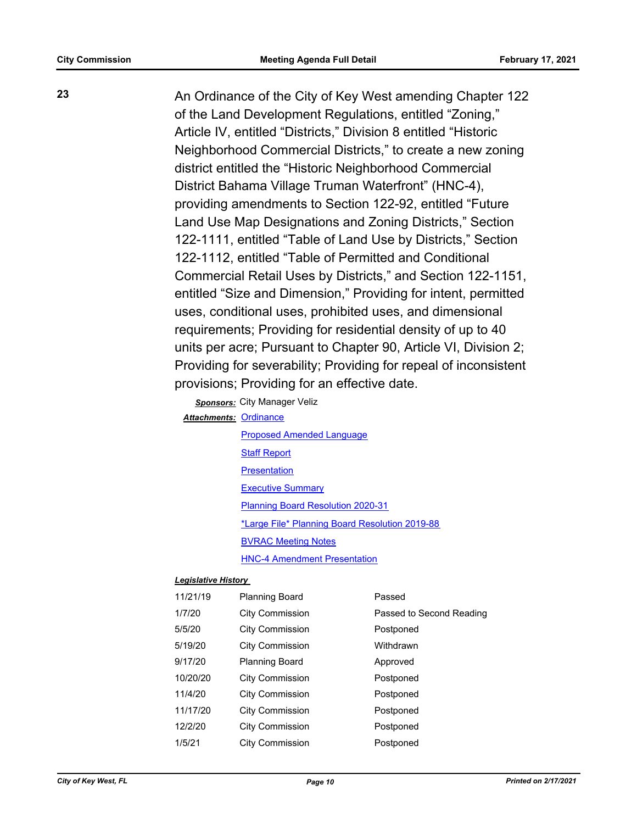**23** An Ordinance of the City of Key West amending Chapter 122 of the Land Development Regulations, entitled "Zoning," Article IV, entitled "Districts," Division 8 entitled "Historic Neighborhood Commercial Districts," to create a new zoning district entitled the "Historic Neighborhood Commercial District Bahama Village Truman Waterfront" (HNC-4), providing amendments to Section 122-92, entitled "Future Land Use Map Designations and Zoning Districts," Section 122-1111, entitled "Table of Land Use by Districts," Section 122-1112, entitled "Table of Permitted and Conditional Commercial Retail Uses by Districts," and Section 122-1151, entitled "Size and Dimension," Providing for intent, permitted uses, conditional uses, prohibited uses, and dimensional requirements; Providing for residential density of up to 40 units per acre; Pursuant to Chapter 90, Article VI, Division 2; Providing for severability; Providing for repeal of inconsistent provisions; Providing for an effective date.

> *Sponsors:* City Manager Veliz Attachments: [Ordinance](http://KeyWest.legistar.com/gateway.aspx?M=F&ID=26893001-fd0f-4c0c-afd1-b4f08c9ce313.pdf)

> > [Proposed Amended Language](http://KeyWest.legistar.com/gateway.aspx?M=F&ID=da0e6ab9-720f-4178-86e5-4b58feea71d9.pdf) **[Staff Report](http://KeyWest.legistar.com/gateway.aspx?M=F&ID=01b4d440-9cfc-49ab-b091-55e0f03647b5.pdf) [Presentation](http://KeyWest.legistar.com/gateway.aspx?M=F&ID=1468ed3f-dc32-497d-a10c-de85009e909c.pdf)** [Executive Summary](http://KeyWest.legistar.com/gateway.aspx?M=F&ID=e5c5fa3d-0867-458a-911a-86d39f8ef7ed.pdf) [Planning Board Resolution 2020-31](http://KeyWest.legistar.com/gateway.aspx?M=F&ID=39a38629-f02b-4b91-994e-ffe77a7c3d22.pdf) [\\*Large File\\* Planning Board Resolution 2019-88](http://KeyWest.legistar.com/gateway.aspx?M=F&ID=652a1b52-bb46-4d07-954f-1450ca784d82.pdf) [BVRAC Meeting Notes](http://KeyWest.legistar.com/gateway.aspx?M=F&ID=1758e735-e4c0-47b2-9912-a14364ef9dd1.pdf) [HNC-4 Amendment Presentation](http://KeyWest.legistar.com/gateway.aspx?M=F&ID=a931cca6-79fe-48d5-a139-e71ae91bee00.pdf)

#### *Legislative History*

| 11/21/19 | <b>Planning Board</b>  | Passed                   |
|----------|------------------------|--------------------------|
| 1/7/20   | <b>City Commission</b> | Passed to Second Reading |
| 5/5/20   | <b>City Commission</b> | Postponed                |
| 5/19/20  | <b>City Commission</b> | Withdrawn                |
| 9/17/20  | <b>Planning Board</b>  | Approved                 |
| 10/20/20 | <b>City Commission</b> | Postponed                |
| 11/4/20  | <b>City Commission</b> | Postponed                |
| 11/17/20 | <b>City Commission</b> | Postponed                |
| 12/2/20  | <b>City Commission</b> | Postponed                |
| 1/5/21   | <b>City Commission</b> | Postponed                |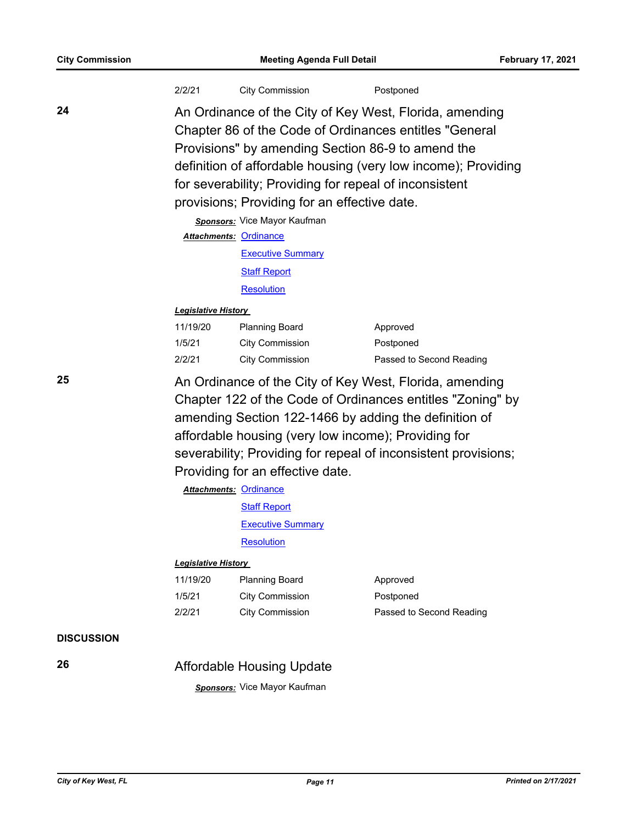|                   | 2/2/21                                                                                                                                                                                                                                                                                                                                                                                                                                                                      | <b>City Commission</b>                                                                                                                                                                                                                                                                                                                                                                                                                                                                     | Postponed                                         |  |
|-------------------|-----------------------------------------------------------------------------------------------------------------------------------------------------------------------------------------------------------------------------------------------------------------------------------------------------------------------------------------------------------------------------------------------------------------------------------------------------------------------------|--------------------------------------------------------------------------------------------------------------------------------------------------------------------------------------------------------------------------------------------------------------------------------------------------------------------------------------------------------------------------------------------------------------------------------------------------------------------------------------------|---------------------------------------------------|--|
| 24                |                                                                                                                                                                                                                                                                                                                                                                                                                                                                             | An Ordinance of the City of Key West, Florida, amending<br>Chapter 86 of the Code of Ordinances entitles "General<br>Provisions" by amending Section 86-9 to amend the<br>definition of affordable housing (very low income); Providing<br>for severability; Providing for repeal of inconsistent<br>provisions; Providing for an effective date.<br><b>Sponsors:</b> Vice Mayor Kaufman<br><b>Attachments: Ordinance</b><br><b>Executive Summary</b><br><b>Staff Report</b><br>Resolution |                                                   |  |
|                   | <b>Legislative History</b>                                                                                                                                                                                                                                                                                                                                                                                                                                                  |                                                                                                                                                                                                                                                                                                                                                                                                                                                                                            |                                                   |  |
|                   | 11/19/20<br>1/5/21<br>2/2/21                                                                                                                                                                                                                                                                                                                                                                                                                                                | <b>Planning Board</b><br><b>City Commission</b><br><b>City Commission</b>                                                                                                                                                                                                                                                                                                                                                                                                                  | Approved<br>Postponed<br>Passed to Second Reading |  |
| 25                | An Ordinance of the City of Key West, Florida, amending<br>Chapter 122 of the Code of Ordinances entitles "Zoning" by<br>amending Section 122-1466 by adding the definition of<br>affordable housing (very low income); Providing for<br>severability; Providing for repeal of inconsistent provisions;<br>Providing for an effective date.<br><b>Attachments: Ordinance</b><br><b>Staff Report</b><br><b>Executive Summary</b><br>Resolution<br><b>Legislative History</b> |                                                                                                                                                                                                                                                                                                                                                                                                                                                                                            |                                                   |  |
|                   |                                                                                                                                                                                                                                                                                                                                                                                                                                                                             |                                                                                                                                                                                                                                                                                                                                                                                                                                                                                            |                                                   |  |
|                   | 11/19/20<br>1/5/21<br>2/2/21                                                                                                                                                                                                                                                                                                                                                                                                                                                | <b>Planning Board</b><br><b>City Commission</b><br><b>City Commission</b>                                                                                                                                                                                                                                                                                                                                                                                                                  | Approved<br>Postponed<br>Passed to Second Reading |  |
| <b>DISCUSSION</b> |                                                                                                                                                                                                                                                                                                                                                                                                                                                                             |                                                                                                                                                                                                                                                                                                                                                                                                                                                                                            |                                                   |  |
| 26                |                                                                                                                                                                                                                                                                                                                                                                                                                                                                             | <b>Affordable Housing Update</b>                                                                                                                                                                                                                                                                                                                                                                                                                                                           |                                                   |  |
|                   |                                                                                                                                                                                                                                                                                                                                                                                                                                                                             | Sponsors: Vice Mayor Kaufman                                                                                                                                                                                                                                                                                                                                                                                                                                                               |                                                   |  |
|                   |                                                                                                                                                                                                                                                                                                                                                                                                                                                                             |                                                                                                                                                                                                                                                                                                                                                                                                                                                                                            |                                                   |  |